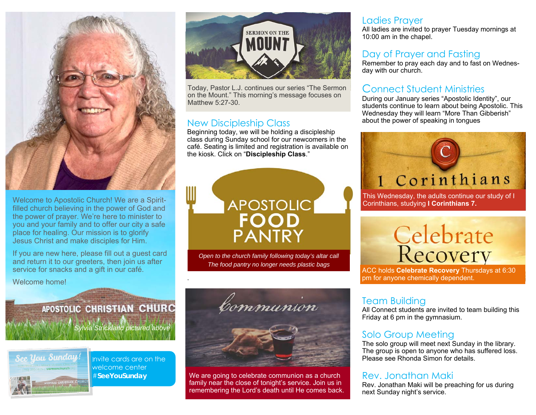

Welcome to Apostolic Church! We are a Spiritfilled church believing in the power of God and the power of prayer. We're here to minister to you and your family and to offer our city a safe place for healing. Our mission is to glorify Jesus Christ and make disciples for Him.

If you are new here, please fill out a guest card and return it to our greeters, then join us after service for snacks and a gift in our café.

Welcome home!



Today, Pastor L.J. continues our series "The Sermon on the Mount." This morning's message focuses on Matthew 5:27-30.

#### New Discipleship Class

.

Beginning today, we will be holding a discipleship class during Sunday school for our newcomers in the café. Seating is limited and registration is available on the kiosk. Click on "**Discipleship Class**."



*Open to the church family following today's altar call The food pantry no longer needs plastic bags* 

## APOSTOLIC CHRISTIAN CHURC *Sylvia Strickland pictured above*



Invite cards are on the welcome center #**SeeYouSunday** 



We are going to celebrate communion as a church family near the close of tonight's service. Join us in remembering the Lord's death until He comes back.

#### Ladies Prayer

All ladies are invited to prayer Tuesday mornings at 10:00 am in the chapel.

#### Day of Prayer and Fasting

Remember to pray each day and to fast on Wednesday with our church.

#### Connect Student Ministries

During our January series "Apostolic Identity", our students continue to learn about being Apostolic. This Wednesday they will learn "More Than Gibberish" about the power of speaking in tongues

# 1 Corinthians

This Wednesday, the adults continue our study of I Corinthians, studying **I Corinthians 7.**

# **Celebrate**<br>Recovery

ACC holds **Celebrate Recovery** Thursdays at 6:30 pm for anyone chemically dependent.

#### Team Building

All Connect students are invited to team building this Friday at 6 pm in the gymnasium.

#### Solo Group Meeting

The solo group will meet next Sunday in the library. The group is open to anyone who has suffered loss. Please see Rhonda Simon for details.

#### Rev. Jonathan Maki

Rev. Jonathan Maki will be preaching for us during next Sunday night's service.